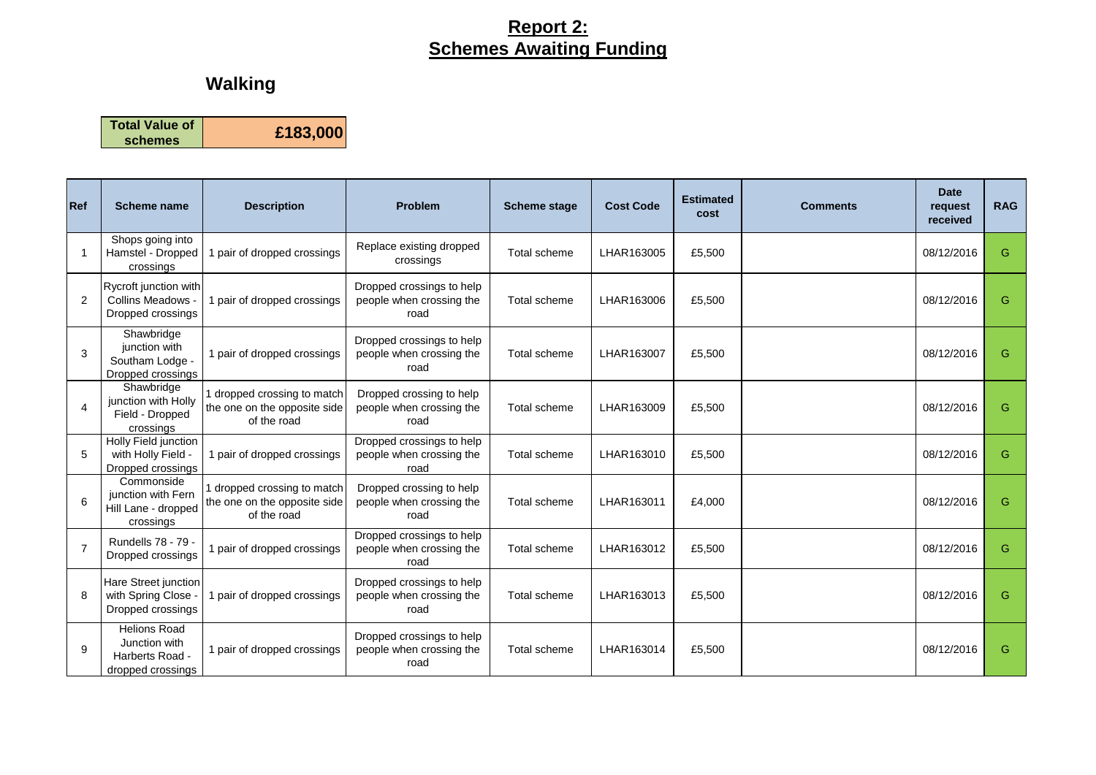### **Report 2: Schemes Awaiting Funding**

# **Walking**

**Total Value of schemes £183,000**

| <b>Ref</b>               | <b>Scheme name</b>                                                           | <b>Description</b>                                                         | <b>Problem</b>                                                | <b>Scheme stage</b> | <b>Cost Code</b> | <b>Estimated</b><br>cost | <b>Comments</b> | <b>Date</b><br>request<br>received | <b>RAG</b> |
|--------------------------|------------------------------------------------------------------------------|----------------------------------------------------------------------------|---------------------------------------------------------------|---------------------|------------------|--------------------------|-----------------|------------------------------------|------------|
| 1                        | Shops going into<br>Hamstel - Dropped<br>crossings                           | pair of dropped crossings                                                  | Replace existing dropped<br>crossings                         | Total scheme        | LHAR163005       | £5,500                   |                 | 08/12/2016                         | G          |
| 2                        | Rycroft junction with<br><b>Collins Meadows</b><br>Dropped crossings         | 1 pair of dropped crossings                                                | Dropped crossings to help<br>people when crossing the<br>road | Total scheme        | LHAR163006       | £5,500                   |                 | 08/12/2016                         | G          |
| 3                        | Shawbridge<br>junction with<br>Southam Lodge -<br>Dropped crossings          | 1 pair of dropped crossings                                                | Dropped crossings to help<br>people when crossing the<br>road | Total scheme        | LHAR163007       | £5,500                   |                 | 08/12/2016                         | G          |
| $\overline{\mathcal{A}}$ | Shawbridge<br>junction with Holly<br>Field - Dropped<br>crossings            | 1 dropped crossing to match<br>the one on the opposite side<br>of the road | Dropped crossing to help<br>people when crossing the<br>road  | Total scheme        | LHAR163009       | £5,500                   |                 | 08/12/2016                         | G          |
| 5                        | Holly Field junction<br>with Holly Field -<br>Dropped crossings              | 1 pair of dropped crossings                                                | Dropped crossings to help<br>people when crossing the<br>road | Total scheme        | LHAR163010       | £5,500                   |                 | 08/12/2016                         | G          |
| 6                        | Commonside<br>junction with Fern<br>Hill Lane - dropped<br>crossings         | dropped crossing to match<br>the one on the opposite side<br>of the road   | Dropped crossing to help<br>people when crossing the<br>road  | Total scheme        | LHAR163011       | £4,000                   |                 | 08/12/2016                         | G          |
| $\overline{7}$           | Rundells 78 - 79 -<br>Dropped crossings                                      | pair of dropped crossings                                                  | Dropped crossings to help<br>people when crossing the<br>road | Total scheme        | LHAR163012       | £5.500                   |                 | 08/12/2016                         | G          |
| 8                        | Hare Street junction<br>with Spring Close<br>Dropped crossings               | pair of dropped crossings                                                  | Dropped crossings to help<br>people when crossing the<br>road | Total scheme        | LHAR163013       | £5,500                   |                 | 08/12/2016                         | G          |
| 9                        | <b>Helions Road</b><br>Junction with<br>Harberts Road -<br>dropped crossings | 1 pair of dropped crossings                                                | Dropped crossings to help<br>people when crossing the<br>road | Total scheme        | LHAR163014       | £5,500                   |                 | 08/12/2016                         | G          |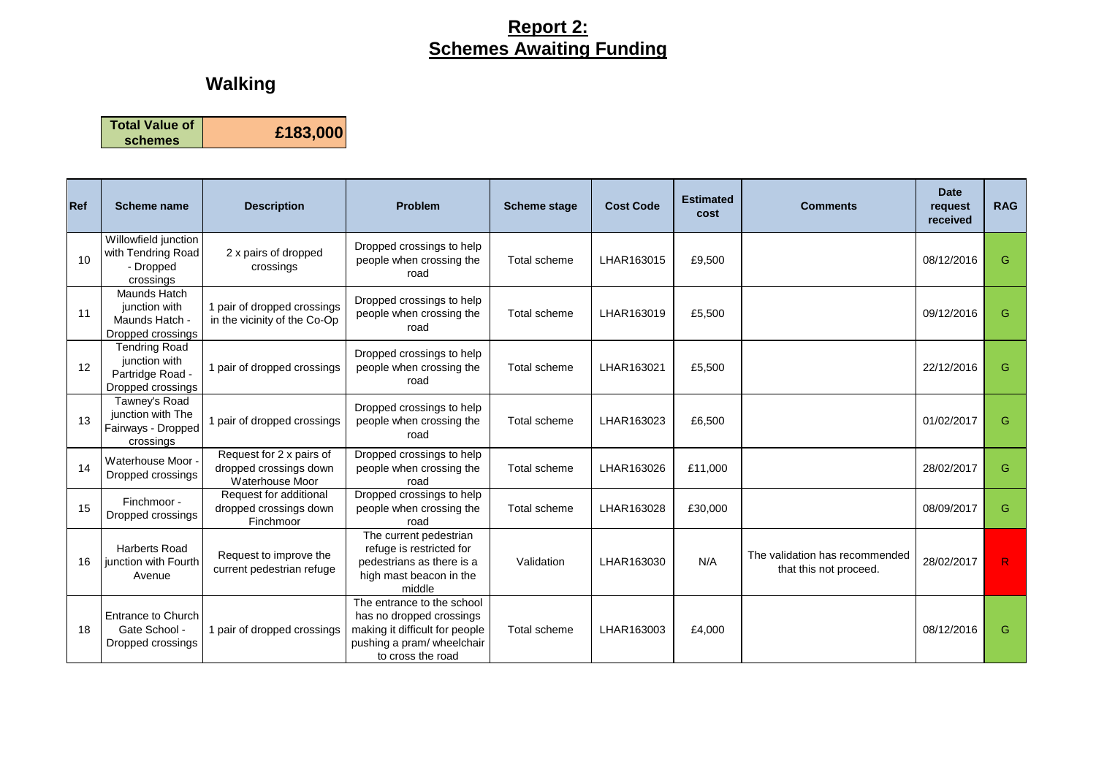### **Report 2: Schemes Awaiting Funding**

# **Walking**

**Total Value of schemes £183,000**

| Ref | Scheme name                                                                    | <b>Description</b>                                                    | Problem                                                                                                                                     | <b>Scheme stage</b> | <b>Cost Code</b> | <b>Estimated</b><br>cost | <b>Comments</b>                                          | <b>Date</b><br>request<br>received | <b>RAG</b> |
|-----|--------------------------------------------------------------------------------|-----------------------------------------------------------------------|---------------------------------------------------------------------------------------------------------------------------------------------|---------------------|------------------|--------------------------|----------------------------------------------------------|------------------------------------|------------|
| 10  | Willowfield junction<br>with Tendring Road<br>- Dropped<br>crossings           | 2 x pairs of dropped<br>crossings                                     | Dropped crossings to help<br>people when crossing the<br>road                                                                               | Total scheme        | LHAR163015       | £9,500                   |                                                          | 08/12/2016                         | G          |
| 11  | Maunds Hatch<br>junction with<br>Maunds Hatch -<br>Dropped crossings           | 1 pair of dropped crossings<br>in the vicinity of the Co-Op           | Dropped crossings to help<br>people when crossing the<br>road                                                                               | Total scheme        | LHAR163019       | £5,500                   |                                                          | 09/12/2016                         | G          |
| 12  | <b>Tendring Road</b><br>junction with<br>Partridge Road -<br>Dropped crossings | 1 pair of dropped crossings                                           | Dropped crossings to help<br>people when crossing the<br>road                                                                               | Total scheme        | LHAR163021       | £5,500                   |                                                          | 22/12/2016                         | G          |
| 13  | Tawney's Road<br>junction with The<br>Fairways - Dropped<br>crossings          | 1 pair of dropped crossings                                           | Dropped crossings to help<br>people when crossing the<br>road                                                                               | Total scheme        | LHAR163023       | £6.500                   |                                                          | 01/02/2017                         | G          |
| 14  | Waterhouse Moor -<br>Dropped crossings                                         | Request for 2 x pairs of<br>dropped crossings down<br>Waterhouse Moor | Dropped crossings to help<br>people when crossing the<br>road                                                                               | Total scheme        | LHAR163026       | £11.000                  |                                                          | 28/02/2017                         | G          |
| 15  | Finchmoor -<br>Dropped crossings                                               | Request for additional<br>dropped crossings down<br>Finchmoor         | Dropped crossings to help<br>people when crossing the<br>road                                                                               | Total scheme        | LHAR163028       | £30,000                  |                                                          | 08/09/2017                         | G          |
| 16  | <b>Harberts Road</b><br>junction with Fourth<br>Avenue                         | Request to improve the<br>current pedestrian refuge                   | The current pedestrian<br>refuge is restricted for<br>pedestrians as there is a<br>high mast beacon in the<br>middle                        | Validation          | LHAR163030       | N/A                      | The validation has recommended<br>that this not proceed. | 28/02/2017                         | R.         |
| 18  | <b>Entrance to Church</b><br>Gate School -<br>Dropped crossings                | 1 pair of dropped crossings                                           | The entrance to the school<br>has no dropped crossings<br>making it difficult for people<br>pushing a pram/ wheelchair<br>to cross the road | Total scheme        | LHAR163003       | £4,000                   |                                                          | 08/12/2016                         | G          |